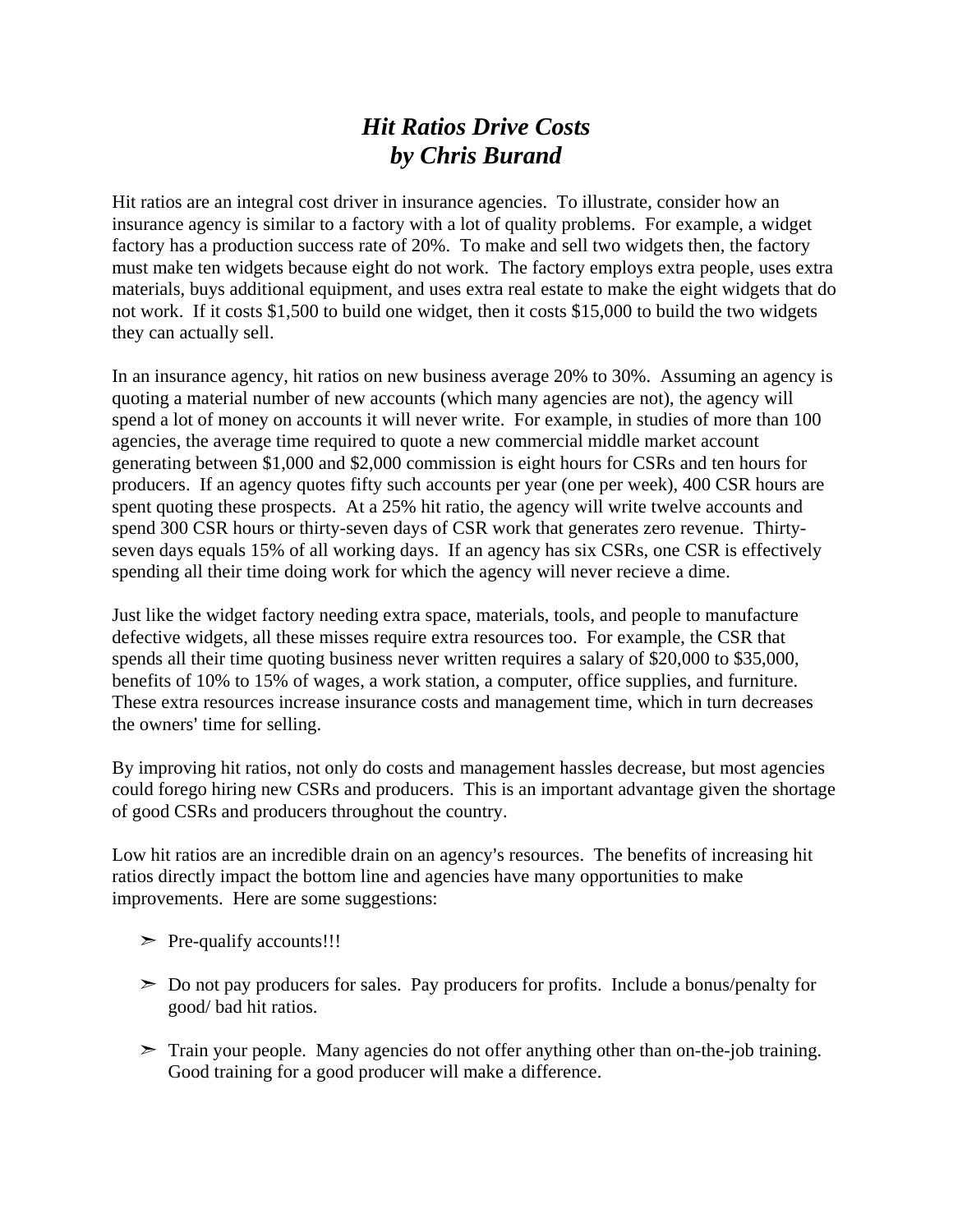## *Hit Ratios Drive Costs by Chris Burand*

Hit ratios are an integral cost driver in insurance agencies. To illustrate, consider how an insurance agency is similar to a factory with a lot of quality problems. For example, a widget factory has a production success rate of 20%. To make and sell two widgets then, the factory must make ten widgets because eight do not work. The factory employs extra people, uses extra materials, buys additional equipment, and uses extra real estate to make the eight widgets that do not work. If it costs \$1,500 to build one widget, then it costs \$15,000 to build the two widgets they can actually sell.

In an insurance agency, hit ratios on new business average 20% to 30%. Assuming an agency is quoting a material number of new accounts (which many agencies are not), the agency will spend a lot of money on accounts it will never write. For example, in studies of more than 100 agencies, the average time required to quote a new commercial middle market account generating between \$1,000 and \$2,000 commission is eight hours for CSRs and ten hours for producers. If an agency quotes fifty such accounts per year (one per week), 400 CSR hours are spent quoting these prospects. At a 25% hit ratio, the agency will write twelve accounts and spend 300 CSR hours or thirty-seven days of CSR work that generates zero revenue. Thirtyseven days equals 15% of all working days. If an agency has six CSRs, one CSR is effectively spending all their time doing work for which the agency will never recieve a dime.

Just like the widget factory needing extra space, materials, tools, and people to manufacture defective widgets, all these misses require extra resources too. For example, the CSR that spends all their time quoting business never written requires a salary of \$20,000 to \$35,000, benefits of 10% to 15% of wages, a work station, a computer, office supplies, and furniture. These extra resources increase insurance costs and management time, which in turn decreases the owners' time for selling.

By improving hit ratios, not only do costs and management hassles decrease, but most agencies could forego hiring new CSRs and producers. This is an important advantage given the shortage of good CSRs and producers throughout the country.

Low hit ratios are an incredible drain on an agency's resources. The benefits of increasing hit ratios directly impact the bottom line and agencies have many opportunities to make improvements. Here are some suggestions:

- $\triangleright$  Pre-qualify accounts!!!
- $\geq$  Do not pay producers for sales. Pay producers for profits. Include a bonus/penalty for good/ bad hit ratios.
- $\geq$  Train your people. Many agencies do not offer anything other than on-the-job training. Good training for a good producer will make a difference.